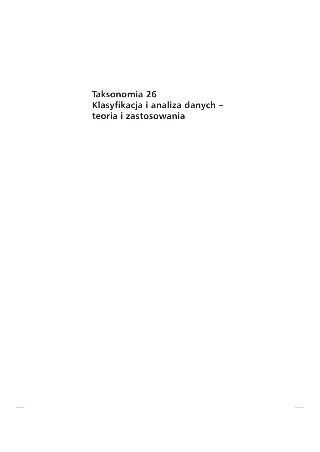**Taksonomia 26** Klasyfikacja i analiza danych – teoria i zastosowania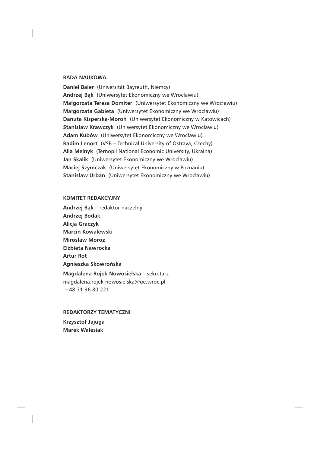### **RADA NAUKOWA**

**Daniel Baier** (Universität Bayreuth, Niemcy) **Andrzej Bąk**(Uniwersytet Ekonomiczny we Wrocławiu) **Małgorzata Teresa Domiter** (Uniwersytet Ekonomiczny we Wrocławiu) **Małgorzata Gableta** (Uniwersytet Ekonomiczny we Wrocławiu) **Danuta Kisperska-Moroń** (Uniwersytet Ekonomiczny w Katowicach) **Stanisław Krawczyk** (Uniwersytet Ekonomiczny we Wrocławiu) **Adam Kubów** (Uniwersytet Ekonomiczny we Wrocławiu) Radim Lenort (VSB - Technical University of Ostrava, Czechy) Alla Melnyk (Ternopil National Economic University, Ukraina) **Jan Skalik**(Uniwersytet Ekonomiczny we Wrocławiu) **Maciej Szymczak** (Uniwersytet Ekonomiczny w Poznaniu) **Stanisław Urban** (Uniwersytet Ekonomiczny we Wrocławiu)

#### **KOMITET REDAKCYJNY**

**Andrzej Bąk** – redaktor naczelny Andrzej Bodak Alicja Graczyk Marcin Kowalewski **Mirosław Moroz Elżbieta Nawrocka Artur Rot** Agnieszka Skowrońska **Magdalena Rojek-Nowosielska –** sekretarz magdalena.rojek-nowosielska@ue.wroc.pl +48 71 36 80 221

REDAKTORZY TEMATYCZNI Krzysztof Jajuga **Marek Walesiak**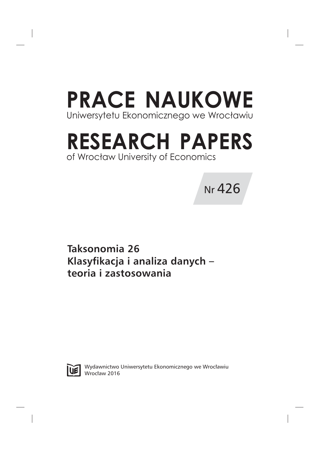# **PRACE NAUKOWE** Uniwersytetu Ekonomicznego we Wrocławiu

## **RESEARCH PAPERS** of Wrocław University of Economics

**Nr** 426

**Taksonomia 26** Klasyfikacja i analiza danych – teoria i zastosowania



Wydawnictwo Uniwersytetu Ekonomicznego we Wrocławiu Wrocław 2016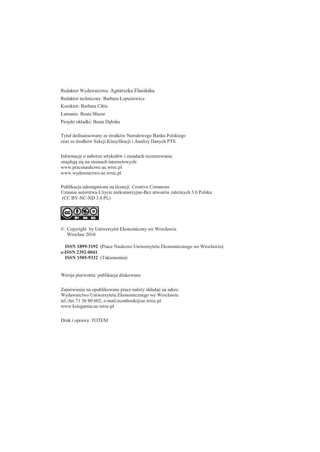Redaktor Wydawnictwa: Agnieszka Flasińska Redaktor techniczny: Barbara Łopusiewicz Korektor: Barbara Cibis Lamanie: Beata Mazur Projekt okładki: Beata Dębska

Tytuł dofinansowany ze środków Narodowego Banku Polskiego oraz ze środków Sekcji Klasyfikacji i Analizy Danych PTS

Informacje o naborze artykułów i zasadach recenzowania znajdują się na stronach internetowych: www.pracenaukowe.ue.wroc.pl www.wydawnictwo.ue.wroc.pl

Publikacja udostępniona na licencji Creative Commons Uznanie autorstwa-Użycie niekomercyjne-Bez utworów zależnych 3.0 Polska  $(CC BY-NC-ND 3.0 PL)$ 



© Copyright by Uniwersytet Ekonomiczny we Wrocławiu Wrocław 2016

ISSN 1899-3192 (Prace Naukowe Uniwersytetu Ekonomicznego we Wrocławiu) e-ISSN 2392-0041 ISSN 1505-9332 (Taksonomia)

Wersja pierwotna: publikacja drukowana

Zamówienia na opublikowane prace należy składać na adres: Wydawnictwo Uniwersytetu Ekonomicznego we Wrocławiu tel./fax 71 36 80 602; e-mail:econbook@ue.wroc.pl www.ksiegarnia.ue.wroc.pl

Druk i oprawa: TOTEM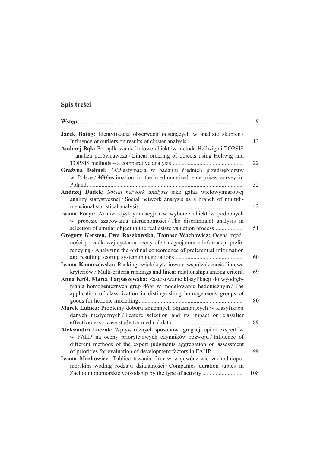## Spis treści

|                                                                             | 9   |
|-----------------------------------------------------------------------------|-----|
| Jacek Batóg: Identyfikacja obserwacji odstających w analizie skupień/       |     |
|                                                                             | 13  |
| Andrzej Bąk: Porządkowanie liniowe obiektów metodą Hellwiga i TOPSIS        |     |
| - analiza porównawcza / Linear ordering of objects using Hellwig and        |     |
|                                                                             | 22  |
| Grażyna Dehnel: MM-estymacja w badaniu średnich przedsiębiorstw             |     |
| w Polsce / MM-estimation in the medium-sized enterprises survey in          |     |
|                                                                             | 32  |
| Andrzej Dudek: Social network analysis jako gałąź wielowymiarowej           |     |
| analizy statystycznej / Social network analysis as a branch of multidi-     |     |
|                                                                             | 42  |
| Iwona Foryś: Analiza dyskryminacyjna w wyborze obiektów podobnych           |     |
| w procesie szacowania nieruchomości / The discriminant analysis in          |     |
| selection of similar object in the real estate valuation process            | 51  |
| Gregory Kersten, Ewa Roszkowska, Tomasz Wachowicz: Ocena zgod-              |     |
| ności porządkowej systemu oceny ofert negocjatora z informacją prefe-       |     |
| rencyjną / Analyzing the ordinal concordance of preferential information    |     |
|                                                                             | 60  |
| Iwona Konarzewska: Rankingi wielokryteriowe a współzależność liniowa        |     |
| kryteriów / Multi-criteria rankings and linear relationships among criteria | 69  |
| Anna Król, Marta Targaszewska: Zastosowanie klasyfikacji do wyodręb-        |     |
| niania homogenicznych grup dóbr w modelowaniu hedonicznym / The             |     |
| application of classification in distinguishing homogeneous groups of       |     |
|                                                                             | 80  |
| Marek Lubicz: Problemy doboru zmiennych objaśniających w klasyfikacji       |     |
| danych medycznych / Feature selection and its impact on classifier          |     |
|                                                                             | 89  |
| Aleksandra Łuczak: Wpływ różnych sposobów agregacji opinii ekspertów        |     |
| w FAHP na oceny priorytetowych czynników rozwoju / Influence of             |     |
| different methods of the expert judgments aggregation on assessment         |     |
| of priorities for evaluation of development factors in FAHP                 | 99  |
| Iwona Markowicz: Tablice trwania firm w województwie zachodniopo-           |     |
| morskim według rodzaju działalności / Companies duration tables in          |     |
| Zachodniopomorskie voivodship by the type of activity                       | 108 |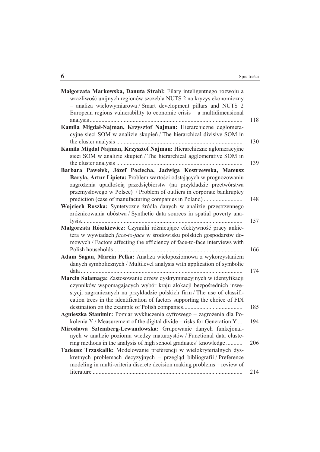| Małgorzata Markowska, Danuta Strahl: Filary inteligentnego rozwoju a<br>wrażliwość unijnych regionów szczebla NUTS 2 na kryzys ekonomiczny |     |
|--------------------------------------------------------------------------------------------------------------------------------------------|-----|
| - analiza wielowymiarowa / Smart development pillars and NUTS 2                                                                            |     |
| European regions vulnerability to economic crisis $-$ a multidimensional                                                                   |     |
|                                                                                                                                            | 118 |
| Kamila Migdał-Najman, Krzysztof Najman: Hierarchiczne deglomera-                                                                           |     |
| cyjne sieci SOM w analizie skupień / The hierarchical divisive SOM in                                                                      |     |
|                                                                                                                                            | 130 |
| Kamila Migdał Najman, Krzysztof Najman: Hierarchiczne aglomeracyjne                                                                        |     |
| sieci SOM w analizie skupień / The hierarchical agglomerative SOM in                                                                       |     |
|                                                                                                                                            | 139 |
| Barbara Pawełek, Józef Pociecha, Jadwiga Kostrzewska, Mateusz                                                                              |     |
| Baryła, Artur Lipieta: Problem wartości odstających w prognozowaniu                                                                        |     |
| zagrożenia upadłością przedsiębiorstw (na przykładzie przetwórstwa                                                                         |     |
| przemysłowego w Polsce) / Problem of outliers in corporate bankruptcy                                                                      |     |
| prediction (case of manufacturing companies in Poland)                                                                                     | 148 |
| Wojciech Roszka: Syntetyczne źródła danych w analizie przestrzennego                                                                       |     |
| zróżnicowania ubóstwa / Synthetic data sources in spatial poverty ana-                                                                     |     |
|                                                                                                                                            | 157 |
| Małgorzata Rószkiewicz: Czynniki różnicujące efektywność pracy ankie-                                                                      |     |
| tera w wywiadach face-to-face w środowisku polskich gospodarstw do-                                                                        |     |
| mowych / Factors affecting the efficiency of face-to-face interviews with                                                                  |     |
|                                                                                                                                            | 166 |
| Adam Sagan, Marcin Pełka: Analiza wielopoziomowa z wykorzystaniem                                                                          |     |
| danych symbolicznych / Multilevel analysis with application of symbolic                                                                    |     |
|                                                                                                                                            | 174 |
| Marcin Salamaga: Zastosowanie drzew dyskryminacyjnych w identyfikacji<br>czynników wspomagających wybór kraju alokacji bezpośrednich inwe- |     |
| stycji zagranicznych na przykładzie polskich firm / The use of classifi-                                                                   |     |
| cation trees in the identification of factors supporting the choice of FDI                                                                 |     |
|                                                                                                                                            | 185 |
| Agnieszka Stanimir: Pomiar wykluczenia cyfrowego - zagrożenia dla Po-                                                                      |     |
| kolenia $Y /$ Measurement of the digital divide – risks for Generation Y                                                                   | 194 |
| Mirosława Sztemberg-Lewandowska: Grupowanie danych funkcjonal-                                                                             |     |
| nych w analizie poziomu wiedzy maturzystów / Functional data cluste-                                                                       |     |
| ring methods in the analysis of high school graduates' knowledge                                                                           | 206 |
| Tadeusz Trzaskalik: Modelowanie preferencji w wielokryterialnych dys-                                                                      |     |
| kretnych problemach decyzyjnych – przegląd bibliografii / Preference                                                                       |     |
| modeling in multi-criteria discrete decision making problems – review of                                                                   |     |
|                                                                                                                                            | 214 |

## $\frac{6}{1}$